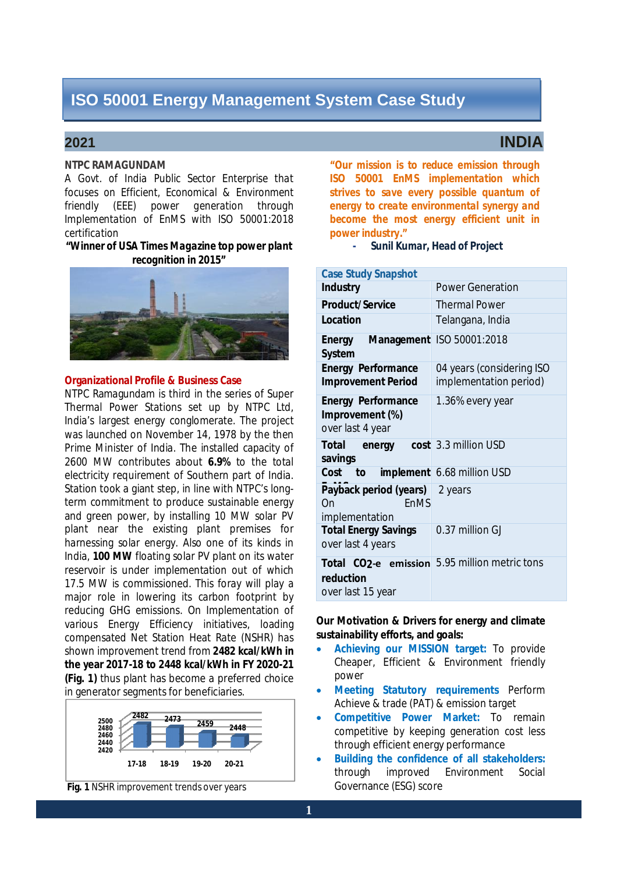### **NTPC RAMAGUNDAM**

*A Govt. of India Public Sector Enterprise that*  focuses on Efficient, Economical & Environment friendly (EEE) power generation through Implementation of EnMS with ISO 50001:2018 *certification* 

#### *"Winner of USA Times Magazine top power plant recognition in 2015"*



#### **Organizational Profile & Business Case**

NTPC Ramagundam is third in the series of Super Thermal Power Stations set up by NTPC Ltd, India's largest energy conglomerate. The project was launched on November 14, 1978 by the then Prime Minister of India. The installed capacity of 2600 MW contributes about **6.9%** to the total electricity requirement of Southern part of India. Station took a giant step, in line with NTPC's long term commitment to produce sustainable energy and green power, by installing 10 MW solar PV plant near the existing plant premises for harnessing solar energy. Also one of its kinds in India, **100 MW** floating solar PV plant on its water reservoir is under implementation out of which 17.5 MW is commissioned. This foray will play a major role in lowering its carbon footprint by reducing GHG emissions. On Implementation of various Energy Efficiency initiatives, loading compensated Net Station Heat Rate (NSHR) has shown improvement trend from **2482 kcal/kWh in the year 2017-18 to 2448 kcal/kWh in FY 2020-21 (Fig. 1)** thus plant has become a preferred choice in generator segments for beneficiaries.



**Fig. 1** NSHR improvement trends over years

"Our mission is to reduce emission through **ISO 50001 EnMS implementation which** strives to save every possible quantum of energy to create environmental synergy and become the most energy efficient unit in *power industry."* 

**-** *Sunil Kumar, Head of Project* 

| <b>Case Study Snapshot</b>                                       |                                                            |  |  |
|------------------------------------------------------------------|------------------------------------------------------------|--|--|
| <b>Industry</b>                                                  | <b>Power Generation</b>                                    |  |  |
| <b>Product/Service</b>                                           | <b>Thermal Power</b>                                       |  |  |
| <b>Location</b>                                                  | Telangana, India                                           |  |  |
| Energy Management ISO 50001:2018<br><b>System</b>                |                                                            |  |  |
| <b>Energy Performance</b><br><b>Improvement Period</b>           | 04 years (considering ISO<br>implementation period)        |  |  |
| <b>Energy Performance</b><br>Improvement (%)<br>over last 4 year | 1.36% every year                                           |  |  |
| <b>Total</b><br>savings                                          | energy cost 3.3 million USD                                |  |  |
| Cost to                                                          | implement 6.68 million USD                                 |  |  |
| Payback period (years)<br>EnMS<br>On<br>implementation           | 2 years                                                    |  |  |
| <b>Total Energy Savings</b><br>over last 4 years                 | 0.37 million GJ                                            |  |  |
| reduction<br>over last 15 year                                   | Total CO <sub>2</sub> -e emission 5.95 million metric tons |  |  |

#### **Our Motivation & Drivers for energy and climate sustainability efforts, and goals:**

- **Achieving our MISSION target:** To provide Cheaper, Efficient & Environment friendly power
- **Meeting Statutory requirements** Perform Achieve & trade (PAT) & emission target
- **Competitive Power Market:** To remain competitive by keeping generation cost less through efficient energy performance
- **Building the confidence of all stakeholders:**  Governance (ESG) score through improved Environment Social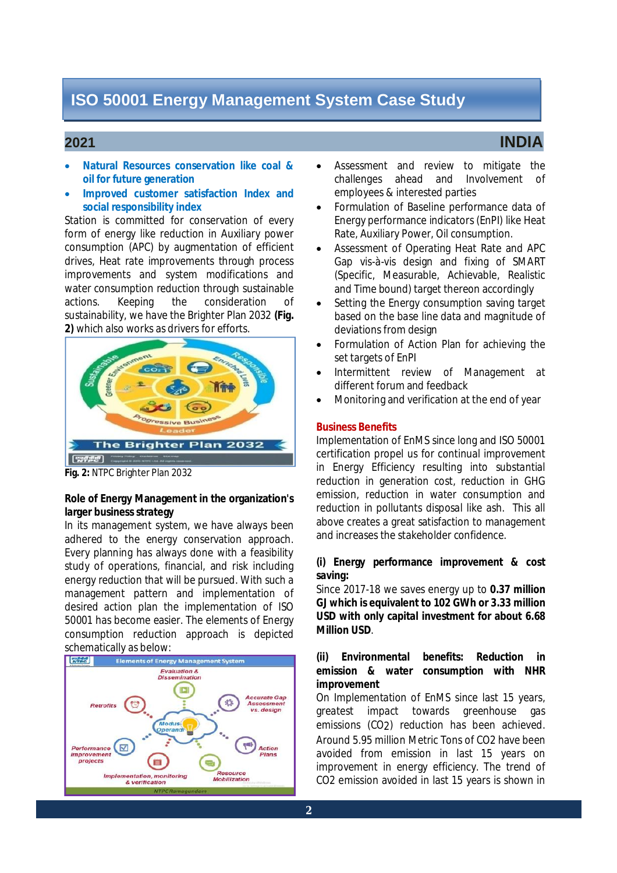### **2021 INDIA**

- **Natural Resources conservation like coal & oil for future generation**
- **Improved customer satisfaction Index and social responsibility index**

 Station is committed for conservation of every form of energy like reduction in Auxiliary power consumption (APC) by augmentation of efficient drives, Heat rate improvements through process improvements and system modifications and water consumption reduction through sustainable actions. sustainability, we have the Brighter Plan 2032 **(Fig. 2)** which also works as drivers for efforts. Keeping the consideration of



**Fig. 2:** NTPC Brighter Plan 2032

#### **Role of Energy Management in the organization's larger business strategy**

 In its management system, we have always been adhered to the energy conservation approach. Every planning has always done with a feasibility study of operations, financial, and risk including energy reduction that will be pursued. With such a management pattern and implementation of desired action plan the implementation of ISO 50001 has become easier. The elements of Energy consumption reduction approach is depicted schematically as below:



- Assessment and review to mitigate the challenges ahead and Involvement of employees & interested parties
- Formulation of Baseline performance data of Energy performance indicators (EnPI) like Heat Rate, Auxiliary Power, Oil consumption.
- Assessment of Operating Heat Rate and APC Gap vis-à-vis design and fixing of SMART (Specific, Measurable, Achievable, Realistic and Time bound) target thereon accordingly
- Setting the Energy consumption saving target based on the base line data and magnitude of deviations from design
- Formulation of Action Plan for achieving the set targets of EnPI
- different forum and feedback Intermittent review of Management at
- Monitoring and verification at the end of year

#### **Business Benefits**

**2** 

 Implementation of EnMS since long and ISO 50001 certification propel us for continual improvement in Energy Efficiency resulting into substantial reduction in generation cost, reduction in GHG emission, reduction in water consumption and reduction in pollutants disposal like ash. This all above creates a great satisfaction to management and increases the stakeholder confidence.

#### **(i) Energy performance improvement & cost saving:**

 Since 2017-18 we saves energy up to **0.37 million GJ which is equivalent to 102 GWh or 3.33 million USD with only capital investment for about 6.68 Million USD**.

#### **(ii) Environmental benefits: Reduction in emission & water consumption with NHR improvement**

 On Implementation of EnMS since last 15 years, greatest impact towards greenhouse gas emissions (CO2) reduction has been achieved. Around 5.95 million Metric Tons of CO2 have been avoided from emission in last 15 years on improvement in energy efficiency. The trend of CO2 emission avoided in last 15 years is shown in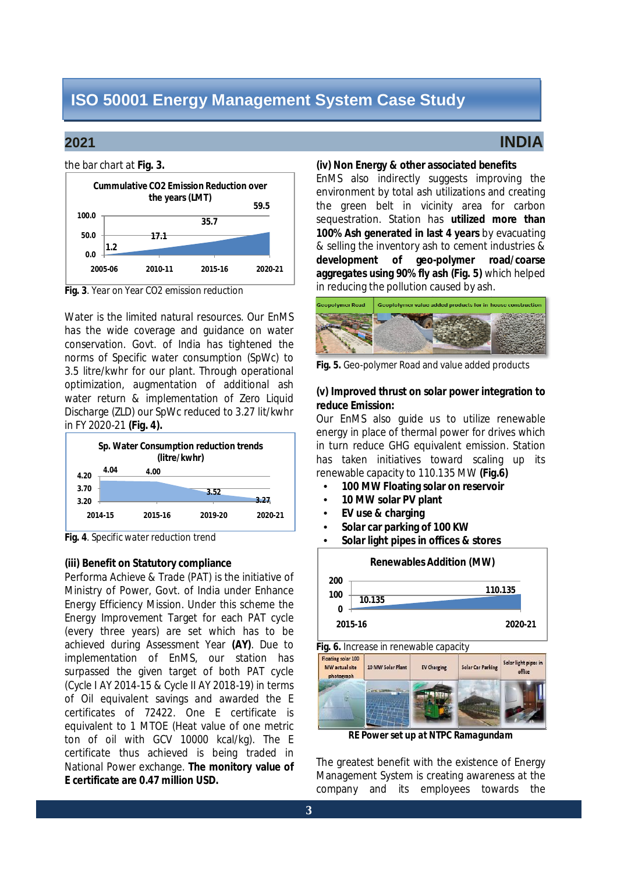#### the bar chart at **Fig. 3.**



**Fig. 3**. Year on Year CO2 emission reduction

 Water is the limited natural resources. Our EnMS has the wide coverage and guidance on water conservation. Govt. of India has tightened the norms of Specific water consumption (SpWc) to 3.5 litre/kwhr for our plant. Through operational optimization, augmentation of additional ash water return & implementation of Zero Liquid Discharge (ZLD) our SpWc reduced to 3.27 lit/kwhr in FY 2020-21 **(Fig. 4).** 



**Fig. 4**. Specific water reduction trend

### **(iii) Benefit on Statutory compliance**

 Performa Achieve & Trade (PAT) is the initiative of Ministry of Power, Govt. of India under Enhance Energy Efficiency Mission. Under this scheme the Energy Improvement Target for each PAT cycle (every three years) are set which has to be achieved during Assessment Year **(AY)**. Due to implementation of EnMS, our station has surpassed the given target of both PAT cycle (Cycle I AY 2014-15 & Cycle II AY 2018-19) in terms of Oil equivalent savings and awarded the E certificates of 72422. One E certificate is equivalent to 1 MTOE (Heat value of one metric ton of oil with GCV 10000 kcal/kg). The E certificate thus achieved is being traded in National Power exchange. **The monitory value of E certificate are 0.47 million USD.** 

# **2021 INDIA**

#### **(iv) Non Energy & other associated benefits**

 EnMS also indirectly suggests improving the environment by total ash utilizations and creating the green belt in vicinity area for carbon sequestration. Station has **utilized more than 100% Ash generated in last 4 years** by evacuating & selling the inventory ash to cement industries &  **development of geo-polymer road/coarse aggregates using 90% fly ash (Fig. 5)** which helped in reducing the pollution caused by ash.



 **Fig. 5.** Geo-polymer Road and value added products

### **(v) Improved thrust on solar power integration to reduce Emission:**

 Our EnMS also guide us to utilize renewable energy in place of thermal power for drives which in turn reduce GHG equivalent emission. Station has taken initiatives toward scaling up its renewable capacity to 110.135 MW **(Fig.6)** 

- **100 MW Floating solar on reservoir**
- **10 MW solar PV plant**
- **EV use & charging**
- **Solar car parking of 100 KW**
- **Solar light pipes in offices & stores**



 **Fig. 6.** Increase in renewable capacity

| Floating solar 100<br>MW actual site<br>photograph | 10 MW Solar Plant | <b>EV Charging</b> | Solar Car Parking | Solar light pipes in<br>office |
|----------------------------------------------------|-------------------|--------------------|-------------------|--------------------------------|
|                                                    |                   |                    |                   |                                |

 *RE Power set up at NTPC Ramagundam* 

 The greatest benefit with the existence of Energy Management System is creating awareness at the company and its employees towards the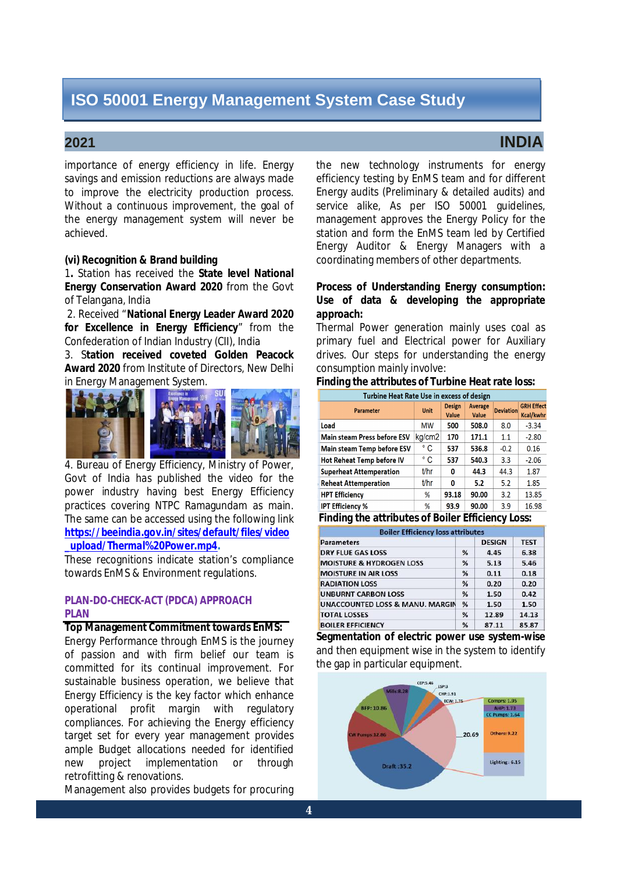## **2021 INDIA**

 importance of energy efficiency in life. Energy savings and emission reductions are always made to improve the electricity production process. Without a continuous improvement, the goal of the energy management system will never be achieved.

#### **(vi) Recognition & Brand building**

 1**.** Station has received the **State level National Energy Conservation Award 2020** from the Govt of Telangana, India

 2. Received "**National Energy Leader Award 2020 for Excellence in Energy Efficiency**" from the Confederation of Indian Industry (CII), India

 **Award 2020** from Institute of Directors, New Delhi in Energy Management System. 3. S**tation received coveted Golden Peacock** 



 4. Bureau of Energy Efficiency, Ministry of Power, Govt of India has published the video for the power industry having best Energy Efficiency practices covering NTPC Ramagundam as main. The same can be accessed using the following link *<https://beeindia.gov.in/sites/default/files/video> \_upload/Thermal%20Power.mp4***.** 

 These recognitions indicate station's compliance towards EnMS & Environment regulations.

# **PLAN-DO-CHECK-ACT (PDCA) APPROACH PLAN**

#### **Top Management Commitment towards EnMS:**

 Energy Performance through EnMS is the journey of passion and with firm belief our team is committed for its continual improvement. For sustainable business operation, we believe that Energy Efficiency is the key factor which enhance operational profit margin with regulatory compliances. For achieving the Energy efficiency target set for every year management provides ample Budget allocations needed for identified new retrofitting & renovations. project implementation or through

Management also provides budgets for procuring

 the new technology instruments for energy efficiency testing by EnMS team and for different Energy audits (Preliminary & detailed audits) and service alike, As per ISO 50001 guidelines, management approves the Energy Policy for the station and form the EnMS team led by Certified Energy Auditor & Energy Managers with a coordinating members of other departments.

#### **Process of Understanding Energy consumption: Use of data & developing the appropriate approach:**

 Thermal Power generation mainly uses coal as primary fuel and Electrical power for Auxiliary drives. Our steps for understanding the energy consumption mainly involve:

#### **Finding the attributes of Turbine Heat rate loss:**

| Turbine Heat Rate Use in excess of design |             |                        |                         |                  |                                       |
|-------------------------------------------|-------------|------------------------|-------------------------|------------------|---------------------------------------|
| <b>Parameter</b>                          | <b>Unit</b> | <b>Design</b><br>Value | <b>Average</b><br>Value | <b>Deviation</b> | <b>GRH Effect</b><br><b>Kcal/kwhr</b> |
| Load                                      | мw          | 500                    | 508.0                   | 8.0              | $-3.34$                               |
| <b>Main steam Press before ESV</b>        | kg/cm2      | 170                    | 171.1                   | 1.1              | $-2.80$                               |
| <b>Main steam Temp before ESV</b>         | ° C         | 537                    | 536.8                   | $-0.2$           | 0.16                                  |
| Hot Reheat Temp before IV                 | ° C         | 537                    | 540.3                   | 3.3              | $-2.06$                               |
| <b>Superheat Attemperation</b>            | t/hr        | ٥                      | 44.3                    | 44.3             | 1.87                                  |
| Reheat Attemperation                      | t/hr        | 0                      | 5.2                     | 5.2              | 1.85                                  |
| <b>HPT Efficiency</b>                     | %           | 93.18                  | 90.00                   | 3.2              | 13.85                                 |
| IPT Efficiency %                          | %           | 93.9                   | 90.00                   | 3.9              | 16.98                                 |
| ___ __ __<br><br>--<br><br>--- -          |             |                        |                         |                  |                                       |

#### **Finding the attributes of Boiler Efficiency Loss:**

| <b>Boiler Efficiency loss attributes</b>   |   |               |             |  |
|--------------------------------------------|---|---------------|-------------|--|
| <b>Parameters</b>                          |   | <b>DESIGN</b> | <b>TEST</b> |  |
| <b>DRY FLUE GAS LOSS</b>                   | % | 4.45          | 6.38        |  |
| <b>MOISTURE &amp; HYDROGEN LOSS</b>        | % | 5.13          | 5.46        |  |
| <b>MOISTURE IN AIR LOSS</b>                | % | 0.11          | 0.18        |  |
| <b>RADIATION LOSS</b>                      | % | 0.20          | 0.20        |  |
| <b>UNBURNT CARBON LOSS</b>                 | % | 1.50          | 0.42        |  |
| <b>UNACCOUNTED LOSS &amp; MANU, MARGIN</b> | % | 1.50          | 1.50        |  |
| <b>TOTAL LOSSES</b>                        | % | 12.89         | 14.13       |  |
| <b>BOILER EFFICIENCY</b>                   | % | 87.11         | 85.87       |  |

 **Segmentation of electric power use system-wise**  and then equipment wise in the system to identify the gap in particular equipment.

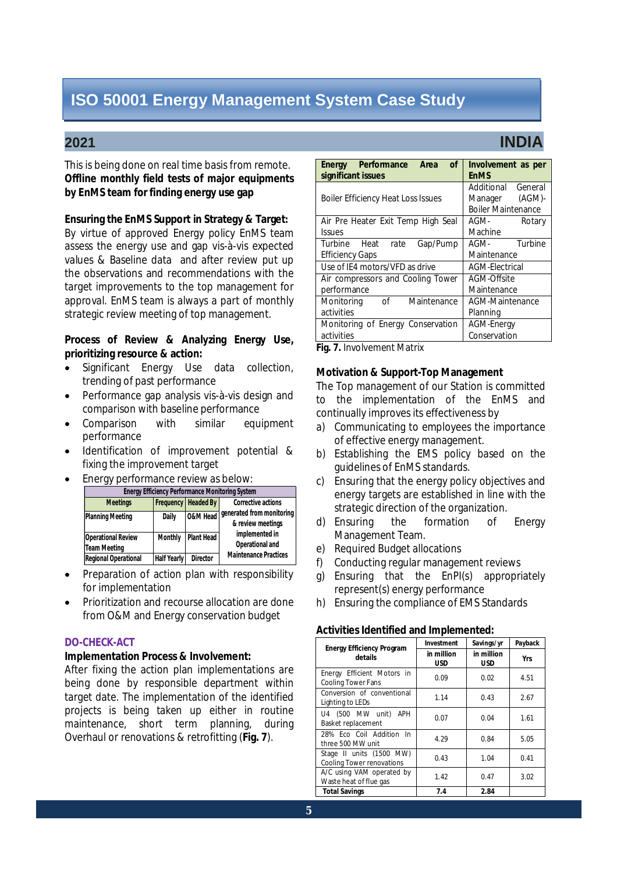This is being done on real time basis from remote.  **Offline monthly field tests of major equipments by EnMS team for finding energy use gap** 

#### **Ensuring the EnMS Support in Strategy & Target:**

 By virtue of approved Energy policy EnMS team assess the energy use and gap vis-à-vis expected values & Baseline data and after review put up the observations and recommendations with the target improvements to the top management for approval. EnMS team is always a part of monthly strategic review meeting of top management.

### **Process of Review & Analyzing Energy Use, prioritizing resource & action:**

- Significant Energy Use data collection, trending of past performance
- Performance gap analysis vis-à-vis design and comparison with baseline performance
- Comparison with similar equipment performance
- Identification of improvement potential & fixing the improvement target
- Energy performance review as below:

| <b>Energy Efficiency Performance Monitoring System</b> |                    |                       |                                                |  |
|--------------------------------------------------------|--------------------|-----------------------|------------------------------------------------|--|
| <b>Meetings</b>                                        |                    | Frequency   Headed By | <b>Corrective actions</b>                      |  |
| <b>Planning Meeting</b>                                | Daily              | O&M Head              | generated from monitoring<br>& review meetings |  |
| <b>Operational Review</b>                              | <b>Monthly</b>     | <b>Plant Head</b>     | implemented in                                 |  |
| <b>Team Meeting</b>                                    |                    |                       | Operational and                                |  |
| <b>Regional Operational</b>                            | <b>Half Yearly</b> | <b>Director</b>       | <b>Maintenance Practices</b>                   |  |

- Preparation of action plan with responsibility for implementation
- Prioritization and recourse allocation are done from O&M and Energy conservation budget

#### **DO-CHECK-ACT**

#### **Implementation Process & Involvement:**

 After fixing the action plan implementations are being done by responsible department within target date. The implementation of the identified projects is being taken up either in routine maintenance, short term planning, during Overhaul or renovations & retrofitting (**Fig. 7**).

| Performance<br>Area<br>0f<br><b>Energy</b><br>significant issues | Involvement as per<br><b>EnMS</b>    |  |  |
|------------------------------------------------------------------|--------------------------------------|--|--|
| <b>Boiler Efficiency Heat Loss Issues</b>                        | Additional<br>General<br>$(AGM)$ -   |  |  |
|                                                                  | Manager<br><b>Boiler Maintenance</b> |  |  |
| Air Pre Heater Exit Temp High Seal                               | AGM-<br>Rotary                       |  |  |
| <b>Issues</b>                                                    | Machine                              |  |  |
| Turbine Heat<br>Gap/Pump<br>rate                                 | AGM-<br>Turbine                      |  |  |
| Efficiency Gaps                                                  | Maintenance                          |  |  |
| Use of IE4 motors/VFD as drive                                   | AGM-Electrical                       |  |  |
| Air compressors and Cooling Tower                                | AGM-Offsite                          |  |  |
| performance                                                      | Maintenance                          |  |  |
| Monitoring<br>Maintenance<br>of                                  | AGM-Maintenance                      |  |  |
| activities                                                       | Planning                             |  |  |
| Monitoring of Energy Conservation                                | <b>AGM-Energy</b>                    |  |  |
| activities                                                       | Conservation                         |  |  |

 **Fig. 7.** Involvement Matrix

#### **Motivation & Support-Top Management**

 The Top management of our Station is committed to the implementation of the EnMS and continually improves its effectiveness by

- a) Communicating to employees the importance of effective energy management.
- b) Establishing the EMS policy based on the guidelines of EnMS standards.
- c) Ensuring that the energy policy objectives and energy targets are established in line with the strategic direction of the organization.
- d) Ensuring the formation of Energy Management Team.
- e) Required Budget allocations
- f) Conducting regular management reviews
- g) Ensuring that the EnPI(s) appropriately represent(s) energy performance
- h) Ensuring the compliance of EMS Standards

#### **Activities Identified and Implemented:**

| <b>Energy Efficiency Program</b>                             | <b>Investment</b> | Savings/yr               | Payback |
|--------------------------------------------------------------|-------------------|--------------------------|---------|
| details                                                      | in million<br>USD | in million<br><b>USD</b> | Yrs     |
| Energy Efficient Motors in<br><b>Cooling Tower Fans</b>      | 0.09              | 0.02                     | 4.51    |
| Conversion of conventional<br>Lighting to LEDs               | 1.14              | 0.43                     | 2.67    |
| U4 (500 MW unit)<br><b>APH</b><br>Basket replacement         | 0.07              | 0.04                     | 1.61    |
| 28% Eco Coil Addition In<br>three 500 MW unit                | 4.29              | 0.84                     | 5.05    |
| Stage II units (1500 MW)<br><b>Cooling Tower renovations</b> | 0.43              | 1.04                     | 0.41    |
| A/C using VAM operated by<br>Waste heat of flue gas          | 1.42              | 0.47                     | 3.02    |
| <b>Total Savings</b>                                         | 7.4               | 2.84                     |         |

# **2021 INDIA**